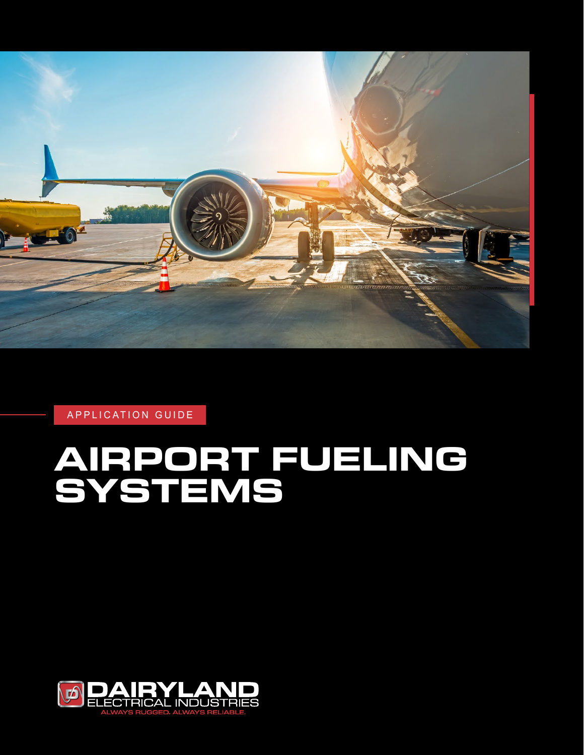

APPLICATION GUIDE

# **AIRPORT FUELING SYSTEMS**

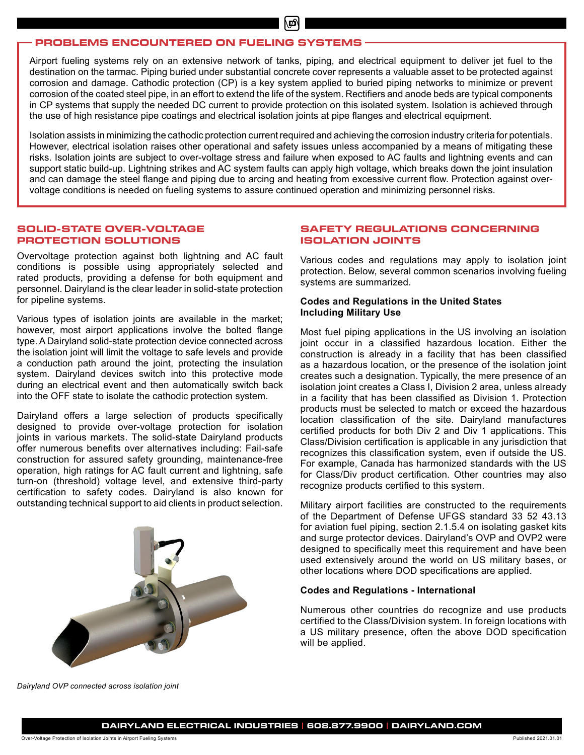# **PROBLEMS ENCOUNTERED ON FUELING SYSTEMS**

Airport fueling systems rely on an extensive network of tanks, piping, and electrical equipment to deliver jet fuel to the destination on the tarmac. Piping buried under substantial concrete cover represents a valuable asset to be protected against corrosion and damage. Cathodic protection (CP) is a key system applied to buried piping networks to minimize or prevent corrosion of the coated steel pipe, in an effort to extend the life of the system. Rectifiers and anode beds are typical components in CP systems that supply the needed DC current to provide protection on this isolated system. Isolation is achieved through the use of high resistance pipe coatings and electrical isolation joints at pipe flanges and electrical equipment.

Isolation assists in minimizing the cathodic protection current required and achieving the corrosion industry criteria for potentials. However, electrical isolation raises other operational and safety issues unless accompanied by a means of mitigating these risks. Isolation joints are subject to over-voltage stress and failure when exposed to AC faults and lightning events and can support static build-up. Lightning strikes and AC system faults can apply high voltage, which breaks down the joint insulation and can damage the steel flange and piping due to arcing and heating from excessive current flow. Protection against overvoltage conditions is needed on fueling systems to assure continued operation and minimizing personnel risks.

#### **SOLID-STATE OVER-VOLTAGE PROTECTION SOLUTIONS**

Overvoltage protection against both lightning and AC fault conditions is possible using appropriately selected and rated products, providing a defense for both equipment and personnel. Dairyland is the clear leader in solid-state protection for pipeline systems.

Various types of isolation joints are available in the market; however, most airport applications involve the bolted flange type. A Dairyland solid-state protection device connected across the isolation joint will limit the voltage to safe levels and provide a conduction path around the joint, protecting the insulation system. Dairyland devices switch into this protective mode during an electrical event and then automatically switch back into the OFF state to isolate the cathodic protection system.

Dairyland offers a large selection of products specifically designed to provide over-voltage protection for isolation joints in various markets. The solid-state Dairyland products offer numerous benefits over alternatives including: Fail-safe construction for assured safety grounding, maintenance-free operation, high ratings for AC fault current and lightning, safe turn-on (threshold) voltage level, and extensive third-party certification to safety codes. Dairyland is also known for outstanding technical support to aid clients in product selection.



# **SAFETY REGULATIONS CONCERNING ISOLATION JOINTS**

Various codes and regulations may apply to isolation joint protection. Below, several common scenarios involving fueling systems are summarized.

#### **Codes and Regulations in the United States Including Military Use**

Most fuel piping applications in the US involving an isolation joint occur in a classified hazardous location. Either the construction is already in a facility that has been classified as a hazardous location, or the presence of the isolation joint creates such a designation. Typically, the mere presence of an isolation joint creates a Class I, Division 2 area, unless already in a facility that has been classified as Division 1. Protection products must be selected to match or exceed the hazardous location classification of the site. Dairyland manufactures certified products for both Div 2 and Div 1 applications. This Class/Division certification is applicable in any jurisdiction that recognizes this classification system, even if outside the US. For example, Canada has harmonized standards with the US for Class/Div product certification. Other countries may also recognize products certified to this system.

Military airport facilities are constructed to the requirements of the Department of Defense UFGS standard 33 52 43.13 for aviation fuel piping, section 2.1.5.4 on isolating gasket kits and surge protector devices. Dairyland's OVP and OVP2 were designed to specifically meet this requirement and have been used extensively around the world on US military bases, or other locations where DOD specifications are applied.

#### **Codes and Regulations - International**

Numerous other countries do recognize and use products certified to the Class/Division system. In foreign locations with a US military presence, often the above DOD specification will be applied.

*Dairyland OVP connected across isolation joint*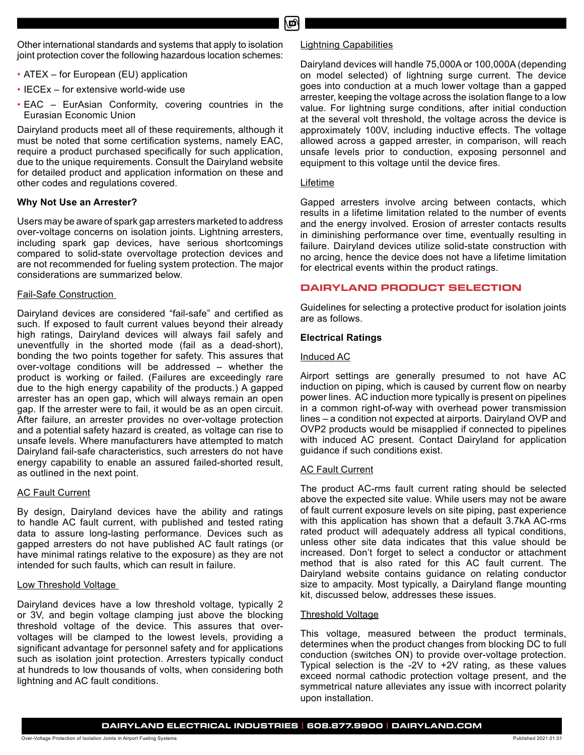Other international standards and systems that apply to isolation joint protection cover the following hazardous location schemes:

- ATEX for European (EU) application
- IECEx for extensive world-wide use
- EAC EurAsian Conformity, covering countries in the Eurasian Economic Union

Dairyland products meet all of these requirements, although it must be noted that some certification systems, namely EAC, require a product purchased specifically for such application, due to the unique requirements. Consult the Dairyland website for detailed product and application information on these and other codes and regulations covered.

# **Why Not Use an Arrester?**

Users may be aware of spark gap arresters marketed to address over-voltage concerns on isolation joints. Lightning arresters, including spark gap devices, have serious shortcomings compared to solid-state overvoltage protection devices and are not recommended for fueling system protection. The major considerations are summarized below.

# Fail-Safe Construction

Dairyland devices are considered "fail-safe" and certified as such. If exposed to fault current values beyond their already high ratings, Dairyland devices will always fail safely and uneventfully in the shorted mode (fail as a dead-short), bonding the two points together for safety. This assures that over-voltage conditions will be addressed – whether the product is working or failed. (Failures are exceedingly rare due to the high energy capability of the products.) A gapped arrester has an open gap, which will always remain an open gap. If the arrester were to fail, it would be as an open circuit. After failure, an arrester provides no over-voltage protection and a potential safety hazard is created, as voltage can rise to unsafe levels. Where manufacturers have attempted to match Dairyland fail-safe characteristics, such arresters do not have energy capability to enable an assured failed-shorted result, as outlined in the next point.

# AC Fault Current

By design, Dairyland devices have the ability and ratings to handle AC fault current, with published and tested rating data to assure long-lasting performance. Devices such as gapped arresters do not have published AC fault ratings (or have minimal ratings relative to the exposure) as they are not intended for such faults, which can result in failure.

# Low Threshold Voltage

Dairyland devices have a low threshold voltage, typically 2 or 3V, and begin voltage clamping just above the blocking threshold voltage of the device. This assures that overvoltages will be clamped to the lowest levels, providing a significant advantage for personnel safety and for applications such as isolation joint protection. Arresters typically conduct at hundreds to low thousands of volts, when considering both lightning and AC fault conditions.

# Lightning Capabilities

Dairyland devices will handle 75,000A or 100,000A (depending on model selected) of lightning surge current. The device goes into conduction at a much lower voltage than a gapped arrester, keeping the voltage across the isolation flange to a low value. For lightning surge conditions, after initial conduction at the several volt threshold, the voltage across the device is approximately 100V, including inductive effects. The voltage allowed across a gapped arrester, in comparison, will reach unsafe levels prior to conduction, exposing personnel and equipment to this voltage until the device fires.

#### Lifetime

Gapped arresters involve arcing between contacts, which results in a lifetime limitation related to the number of events and the energy involved. Erosion of arrester contacts results in diminishing performance over time, eventually resulting in failure. Dairyland devices utilize solid-state construction with no arcing, hence the device does not have a lifetime limitation for electrical events within the product ratings.

# **DAIRYLAND PRODUCT SELECTION**

Guidelines for selecting a protective product for isolation joints are as follows.

# **Electrical Ratings**

# Induced AC

Airport settings are generally presumed to not have AC induction on piping, which is caused by current flow on nearby power lines. AC induction more typically is present on pipelines in a common right-of-way with overhead power transmission lines – a condition not expected at airports. Dairyland OVP and OVP2 products would be misapplied if connected to pipelines with induced AC present. Contact Dairyland for application guidance if such conditions exist.

# **AC Fault Current**

The product AC-rms fault current rating should be selected above the expected site value. While users may not be aware of fault current exposure levels on site piping, past experience with this application has shown that a default 3.7kA AC-rms rated product will adequately address all typical conditions, unless other site data indicates that this value should be increased. Don't forget to select a conductor or attachment method that is also rated for this AC fault current. The Dairyland website contains guidance on relating conductor size to ampacity. Most typically, a Dairyland flange mounting kit, discussed below, addresses these issues.

#### Threshold Voltage

This voltage, measured between the product terminals, determines when the product changes from blocking DC to full conduction (switches ON) to provide over-voltage protection. Typical selection is the -2V to +2V rating, as these values exceed normal cathodic protection voltage present, and the symmetrical nature alleviates any issue with incorrect polarity upon installation.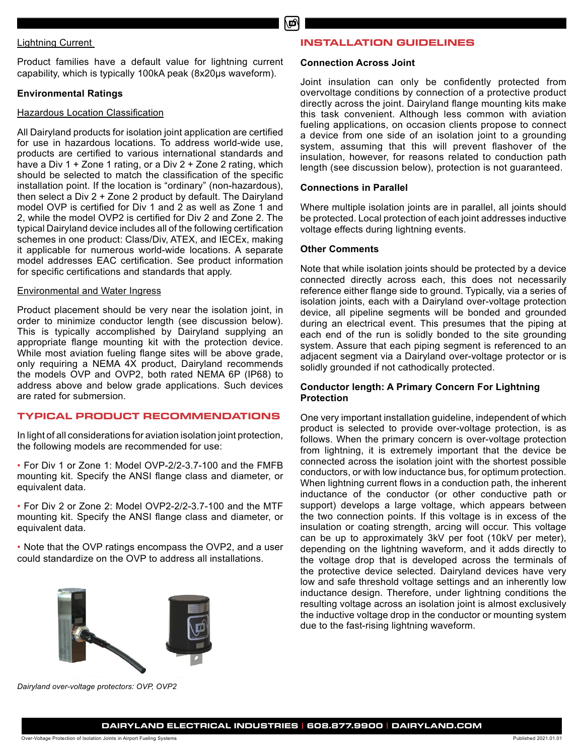# Lightning Current

Product families have a default value for lightning current capability, which is typically 100kA peak (8x20µs waveform).

# **Environmental Ratings**

#### Hazardous Location Classification

All Dairyland products for isolation joint application are certified for use in hazardous locations. To address world-wide use, products are certified to various international standards and have a Div 1 + Zone 1 rating, or a Div 2 + Zone 2 rating, which should be selected to match the classification of the specific installation point. If the location is "ordinary" (non-hazardous), then select a Div 2 + Zone 2 product by default. The Dairyland model OVP is certified for Div 1 and 2 as well as Zone 1 and 2, while the model OVP2 is certified for Div 2 and Zone 2. The typical Dairyland device includes all of the following certification schemes in one product: Class/Div, ATEX, and IECEx, making it applicable for numerous world-wide locations. A separate model addresses EAC certification. See product information for specific certifications and standards that apply.

#### Environmental and Water Ingress

Product placement should be very near the isolation joint, in order to minimize conductor length (see discussion below). This is typically accomplished by Dairyland supplying an appropriate flange mounting kit with the protection device. While most aviation fueling flange sites will be above grade, only requiring a NEMA 4X product, Dairyland recommends the models OVP and OVP2, both rated NEMA 6P (IP68) to address above and below grade applications. Such devices are rated for submersion.

# **TYPICAL PRODUCT RECOMMENDATIONS**

In light of all considerations for aviation isolation joint protection, the following models are recommended for use:

• For Div 1 or Zone 1: Model OVP-2/2-3.7-100 and the FMFB mounting kit. Specify the ANSI flange class and diameter, or equivalent data.

• For Div 2 or Zone 2: Model OVP2-2/2-3.7-100 and the MTF mounting kit. Specify the ANSI flange class and diameter, or equivalent data.

• Note that the OVP ratings encompass the OVP2, and a user could standardize on the OVP to address all installations.

#### **INSTALLATION GUIDELINES**

#### **Connection Across Joint**

Joint insulation can only be confidently protected from overvoltage conditions by connection of a protective product directly across the joint. Dairyland flange mounting kits make this task convenient. Although less common with aviation fueling applications, on occasion clients propose to connect a device from one side of an isolation joint to a grounding system, assuming that this will prevent flashover of the insulation, however, for reasons related to conduction path length (see discussion below), protection is not guaranteed.

#### **Connections in Parallel**

Where multiple isolation joints are in parallel, all joints should be protected. Local protection of each joint addresses inductive voltage effects during lightning events.

#### **Other Comments**

Note that while isolation joints should be protected by a device connected directly across each, this does not necessarily reference either flange side to ground. Typically, via a series of isolation joints, each with a Dairyland over-voltage protection device, all pipeline segments will be bonded and grounded during an electrical event. This presumes that the piping at each end of the run is solidly bonded to the site grounding system. Assure that each piping segment is referenced to an adjacent segment via a Dairyland over-voltage protector or is solidly grounded if not cathodically protected.

# **Conductor length: A Primary Concern For Lightning Protection**

One very important installation guideline, independent of which product is selected to provide over-voltage protection, is as follows. When the primary concern is over-voltage protection from lightning, it is extremely important that the device be connected across the isolation joint with the shortest possible conductors, or with low inductance bus, for optimum protection. When lightning current flows in a conduction path, the inherent inductance of the conductor (or other conductive path or support) develops a large voltage, which appears between the two connection points. If this voltage is in excess of the insulation or coating strength, arcing will occur. This voltage can be up to approximately 3kV per foot (10kV per meter), depending on the lightning waveform, and it adds directly to the voltage drop that is developed across the terminals of the protective device selected. Dairyland devices have very low and safe threshold voltage settings and an inherently low inductance design. Therefore, under lightning conditions the resulting voltage across an isolation joint is almost exclusively the inductive voltage drop in the conductor or mounting system due to the fast-rising lightning waveform.

*Dairyland over-voltage protectors: OVP, OVP2*